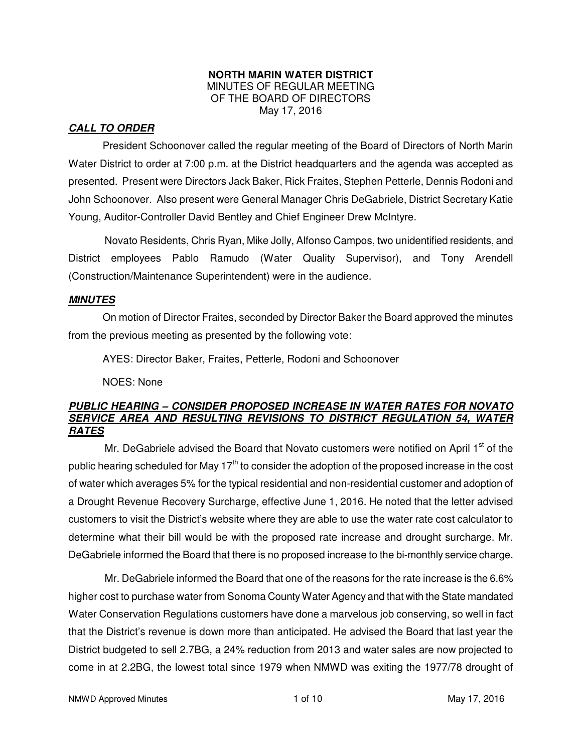#### **NORTH MARIN WATER DISTRICT**  MINUTES OF REGULAR MEETING OF THE BOARD OF DIRECTORS May 17, 2016

## **CALL TO ORDER**

President Schoonover called the regular meeting of the Board of Directors of North Marin Water District to order at 7:00 p.m. at the District headquarters and the agenda was accepted as presented. Present were Directors Jack Baker, Rick Fraites, Stephen Petterle, Dennis Rodoni and John Schoonover. Also present were General Manager Chris DeGabriele, District Secretary Katie Young, Auditor-Controller David Bentley and Chief Engineer Drew McIntyre.

Novato Residents, Chris Ryan, Mike Jolly, Alfonso Campos, two unidentified residents, and District employees Pablo Ramudo (Water Quality Supervisor), and Tony Arendell (Construction/Maintenance Superintendent) were in the audience.

## **MINUTES**

 On motion of Director Fraites, seconded by Director Baker the Board approved the minutes from the previous meeting as presented by the following vote:

AYES: Director Baker, Fraites, Petterle, Rodoni and Schoonover

NOES: None

## **PUBLIC HEARING – CONSIDER PROPOSED INCREASE IN WATER RATES FOR NOVATO SERVICE AREA AND RESULTING REVISIONS TO DISTRICT REGULATION 54, WATER RATES**

Mr. DeGabriele advised the Board that Novato customers were notified on April 1<sup>st</sup> of the public hearing scheduled for May  $17<sup>th</sup>$  to consider the adoption of the proposed increase in the cost of water which averages 5% for the typical residential and non-residential customer and adoption of a Drought Revenue Recovery Surcharge, effective June 1, 2016. He noted that the letter advised customers to visit the District's website where they are able to use the water rate cost calculator to determine what their bill would be with the proposed rate increase and drought surcharge. Mr. DeGabriele informed the Board that there is no proposed increase to the bi-monthly service charge.

Mr. DeGabriele informed the Board that one of the reasons for the rate increase is the 6.6% higher cost to purchase water from Sonoma County Water Agency and that with the State mandated Water Conservation Regulations customers have done a marvelous job conserving, so well in fact that the District's revenue is down more than anticipated. He advised the Board that last year the District budgeted to sell 2.7BG, a 24% reduction from 2013 and water sales are now projected to come in at 2.2BG, the lowest total since 1979 when NMWD was exiting the 1977/78 drought of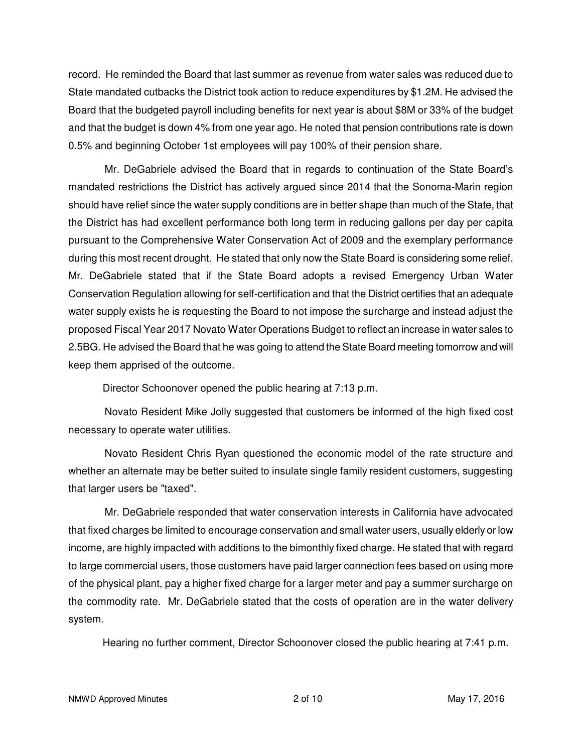record. He reminded the Board that last summer as revenue from water sales was reduced due to State mandated cutbacks the District took action to reduce expenditures by \$1.2M. He advised the Board that the budgeted payroll including benefits for next year is about \$8M or 33% of the budget and that the budget is down 4% from one year ago. He noted that pension contributions rate is down 0.5% and beginning October 1st employees will pay 100% of their pension share.

Mr. DeGabriele advised the Board that in regards to continuation of the State Board's mandated restrictions the District has actively argued since 2014 that the Sonoma-Marin region should have relief since the water supply conditions are in better shape than much of the State, that the District has had excellent performance both long term in reducing gallons per day per capita pursuant to the Comprehensive Water Conservation Act of 2009 and the exemplary performance during this most recent drought. He stated that only now the State Board is considering some relief. Mr. DeGabriele stated that if the State Board adopts a revised Emergency Urban Water Conservation Regulation allowing for self-certification and that the District certifies that an adequate water supply exists he is requesting the Board to not impose the surcharge and instead adjust the proposed Fiscal Year 2017 Novato Water Operations Budget to reflect an increase in water sales to 2.5BG. He advised the Board that he was going to attend the State Board meeting tomorrow and will keep them apprised of the outcome.

Director Schoonover opened the public hearing at 7:13 p.m.

Novato Resident Mike Jolly suggested that customers be informed of the high fixed cost necessary to operate water utilities.

Novato Resident Chris Ryan questioned the economic model of the rate structure and whether an alternate may be better suited to insulate single family resident customers, suggesting that larger users be "taxed".

Mr. DeGabriele responded that water conservation interests in California have advocated that fixed charges be limited to encourage conservation and small water users, usually elderly or low income, are highly impacted with additions to the bimonthly fixed charge. He stated that with regard to large commercial users, those customers have paid larger connection fees based on using more of the physical plant, pay a higher fixed charge for a larger meter and pay a summer surcharge on the commodity rate. Mr. DeGabriele stated that the costs of operation are in the water delivery system.

Hearing no further comment, Director Schoonover closed the public hearing at 7:41 p.m.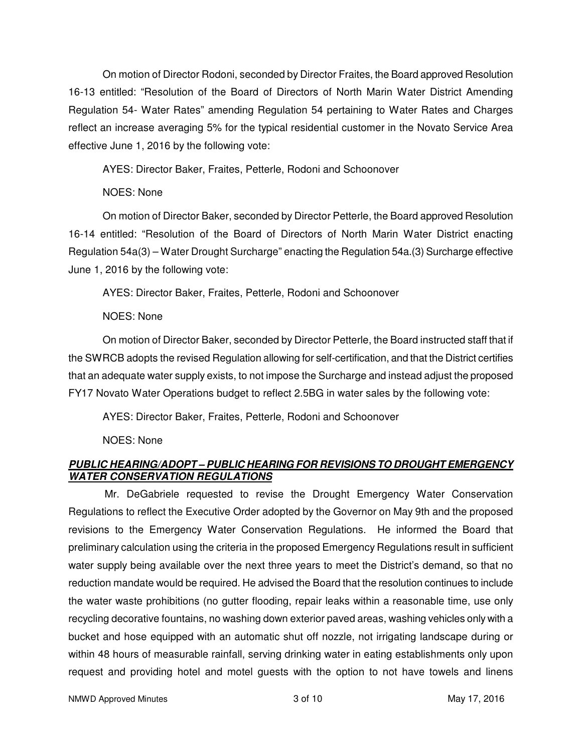On motion of Director Rodoni, seconded by Director Fraites, the Board approved Resolution 16-13 entitled: "Resolution of the Board of Directors of North Marin Water District Amending Regulation 54- Water Rates" amending Regulation 54 pertaining to Water Rates and Charges reflect an increase averaging 5% for the typical residential customer in the Novato Service Area effective June 1, 2016 by the following vote:

AYES: Director Baker, Fraites, Petterle, Rodoni and Schoonover

# NOES: None

 On motion of Director Baker, seconded by Director Petterle, the Board approved Resolution 16-14 entitled: "Resolution of the Board of Directors of North Marin Water District enacting Regulation 54a(3) – Water Drought Surcharge" enacting the Regulation 54a.(3) Surcharge effective June 1, 2016 by the following vote:

AYES: Director Baker, Fraites, Petterle, Rodoni and Schoonover

# NOES: None

 On motion of Director Baker, seconded by Director Petterle, the Board instructed staff that if the SWRCB adopts the revised Regulation allowing for self-certification, and that the District certifies that an adequate water supply exists, to not impose the Surcharge and instead adjust the proposed FY17 Novato Water Operations budget to reflect 2.5BG in water sales by the following vote:

AYES: Director Baker, Fraites, Petterle, Rodoni and Schoonover

NOES: None

# **PUBLIC HEARING/ADOPT – PUBLIC HEARING FOR REVISIONS TO DROUGHT EMERGENCY WATER CONSERVATION REGULATIONS**

Mr. DeGabriele requested to revise the Drought Emergency Water Conservation Regulations to reflect the Executive Order adopted by the Governor on May 9th and the proposed revisions to the Emergency Water Conservation Regulations. He informed the Board that preliminary calculation using the criteria in the proposed Emergency Regulations result in sufficient water supply being available over the next three years to meet the District's demand, so that no reduction mandate would be required. He advised the Board that the resolution continues to include the water waste prohibitions (no gutter flooding, repair leaks within a reasonable time, use only recycling decorative fountains, no washing down exterior paved areas, washing vehicles only with a bucket and hose equipped with an automatic shut off nozzle, not irrigating landscape during or within 48 hours of measurable rainfall, serving drinking water in eating establishments only upon request and providing hotel and motel guests with the option to not have towels and linens

NMWD Approved Minutes and the set of the set of 10 and the set of the May 17, 2016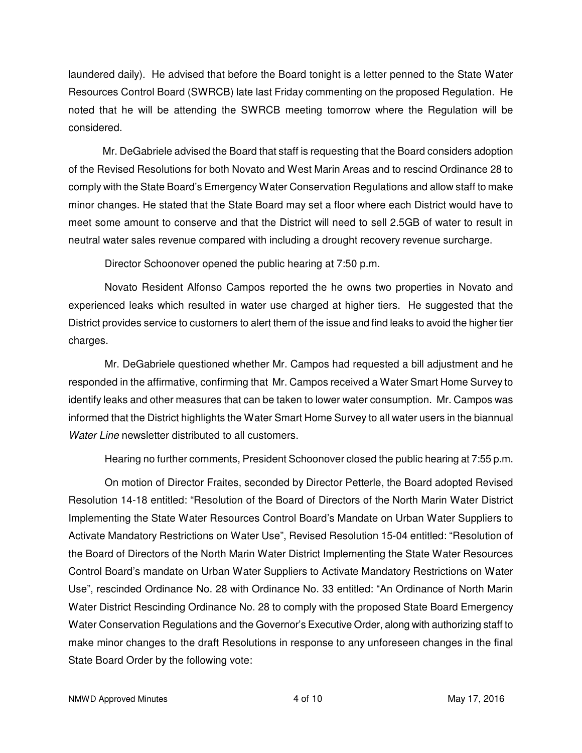laundered daily). He advised that before the Board tonight is a letter penned to the State Water Resources Control Board (SWRCB) late last Friday commenting on the proposed Regulation. He noted that he will be attending the SWRCB meeting tomorrow where the Regulation will be considered.

 Mr. DeGabriele advised the Board that staff is requesting that the Board considers adoption of the Revised Resolutions for both Novato and West Marin Areas and to rescind Ordinance 28 to comply with the State Board's Emergency Water Conservation Regulations and allow staff to make minor changes. He stated that the State Board may set a floor where each District would have to meet some amount to conserve and that the District will need to sell 2.5GB of water to result in neutral water sales revenue compared with including a drought recovery revenue surcharge.

Director Schoonover opened the public hearing at 7:50 p.m.

Novato Resident Alfonso Campos reported the he owns two properties in Novato and experienced leaks which resulted in water use charged at higher tiers. He suggested that the District provides service to customers to alert them of the issue and find leaks to avoid the higher tier charges.

Mr. DeGabriele questioned whether Mr. Campos had requested a bill adjustment and he responded in the affirmative, confirming that Mr. Campos received a Water Smart Home Survey to identify leaks and other measures that can be taken to lower water consumption. Mr. Campos was informed that the District highlights the Water Smart Home Survey to all water users in the biannual Water Line newsletter distributed to all customers.

Hearing no further comments, President Schoonover closed the public hearing at 7:55 p.m.

On motion of Director Fraites, seconded by Director Petterle, the Board adopted Revised Resolution 14-18 entitled: "Resolution of the Board of Directors of the North Marin Water District Implementing the State Water Resources Control Board's Mandate on Urban Water Suppliers to Activate Mandatory Restrictions on Water Use", Revised Resolution 15-04 entitled: "Resolution of the Board of Directors of the North Marin Water District Implementing the State Water Resources Control Board's mandate on Urban Water Suppliers to Activate Mandatory Restrictions on Water Use", rescinded Ordinance No. 28 with Ordinance No. 33 entitled: "An Ordinance of North Marin Water District Rescinding Ordinance No. 28 to comply with the proposed State Board Emergency Water Conservation Regulations and the Governor's Executive Order, along with authorizing staff to make minor changes to the draft Resolutions in response to any unforeseen changes in the final State Board Order by the following vote: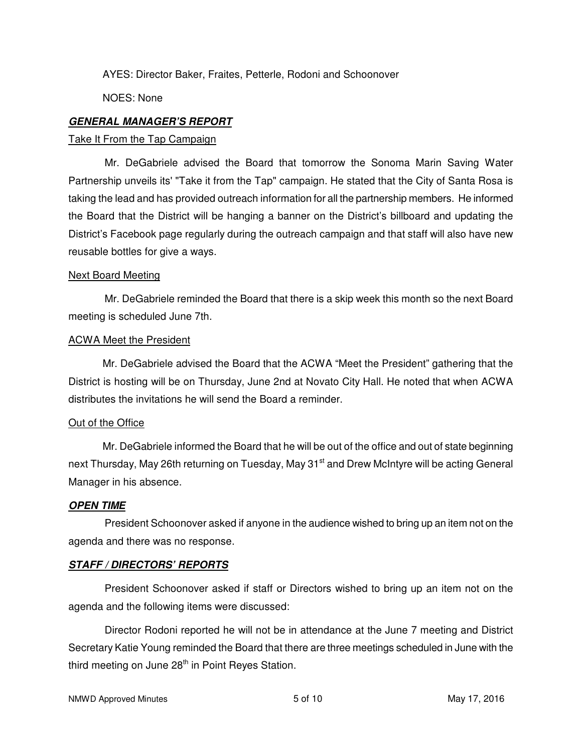AYES: Director Baker, Fraites, Petterle, Rodoni and Schoonover

NOES: None

# **GENERAL MANAGER'S REPORT**

#### Take It From the Tap Campaign

Mr. DeGabriele advised the Board that tomorrow the Sonoma Marin Saving Water Partnership unveils its' "Take it from the Tap" campaign. He stated that the City of Santa Rosa is taking the lead and has provided outreach information for all the partnership members. He informed the Board that the District will be hanging a banner on the District's billboard and updating the District's Facebook page regularly during the outreach campaign and that staff will also have new reusable bottles for give a ways.

#### Next Board Meeting

Mr. DeGabriele reminded the Board that there is a skip week this month so the next Board meeting is scheduled June 7th.

#### ACWA Meet the President

 Mr. DeGabriele advised the Board that the ACWA "Meet the President" gathering that the District is hosting will be on Thursday, June 2nd at Novato City Hall. He noted that when ACWA distributes the invitations he will send the Board a reminder.

## Out of the Office

 Mr. DeGabriele informed the Board that he will be out of the office and out of state beginning next Thursday, May 26th returning on Tuesday, May 31<sup>st</sup> and Drew McIntyre will be acting General Manager in his absence.

## **OPEN TIME**

President Schoonover asked if anyone in the audience wished to bring up an item not on the agenda and there was no response.

## **STAFF / DIRECTORS' REPORTS**

President Schoonover asked if staff or Directors wished to bring up an item not on the agenda and the following items were discussed:

Director Rodoni reported he will not be in attendance at the June 7 meeting and District Secretary Katie Young reminded the Board that there are three meetings scheduled in June with the third meeting on June 28<sup>th</sup> in Point Reyes Station.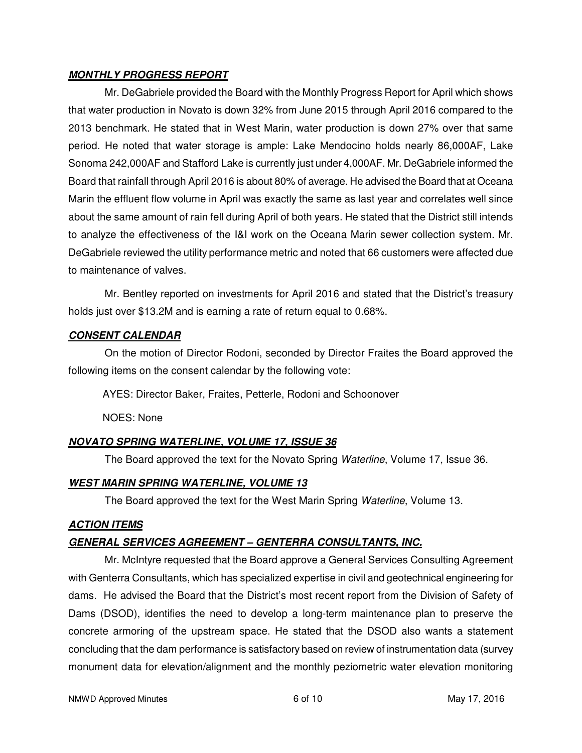## **MONTHLY PROGRESS REPORT**

Mr. DeGabriele provided the Board with the Monthly Progress Report for April which shows that water production in Novato is down 32% from June 2015 through April 2016 compared to the 2013 benchmark. He stated that in West Marin, water production is down 27% over that same period. He noted that water storage is ample: Lake Mendocino holds nearly 86,000AF, Lake Sonoma 242,000AF and Stafford Lake is currently just under 4,000AF. Mr. DeGabriele informed the Board that rainfall through April 2016 is about 80% of average. He advised the Board that at Oceana Marin the effluent flow volume in April was exactly the same as last year and correlates well since about the same amount of rain fell during April of both years. He stated that the District still intends to analyze the effectiveness of the I&I work on the Oceana Marin sewer collection system. Mr. DeGabriele reviewed the utility performance metric and noted that 66 customers were affected due to maintenance of valves.

Mr. Bentley reported on investments for April 2016 and stated that the District's treasury holds just over \$13.2M and is earning a rate of return equal to 0.68%.

# **CONSENT CALENDAR**

On the motion of Director Rodoni, seconded by Director Fraites the Board approved the following items on the consent calendar by the following vote:

AYES: Director Baker, Fraites, Petterle, Rodoni and Schoonover

NOES: None

# **NOVATO SPRING WATERLINE, VOLUME 17, ISSUE 36**

The Board approved the text for the Novato Spring Waterline, Volume 17, Issue 36.

# **WEST MARIN SPRING WATERLINE, VOLUME 13**

The Board approved the text for the West Marin Spring Waterline, Volume 13.

# **ACTION ITEMS**

# **GENERAL SERVICES AGREEMENT – GENTERRA CONSULTANTS, INC.**

Mr. McIntyre requested that the Board approve a General Services Consulting Agreement with Genterra Consultants, which has specialized expertise in civil and geotechnical engineering for dams. He advised the Board that the District's most recent report from the Division of Safety of Dams (DSOD), identifies the need to develop a long-term maintenance plan to preserve the concrete armoring of the upstream space. He stated that the DSOD also wants a statement concluding that the dam performance is satisfactory based on review of instrumentation data (survey monument data for elevation/alignment and the monthly peziometric water elevation monitoring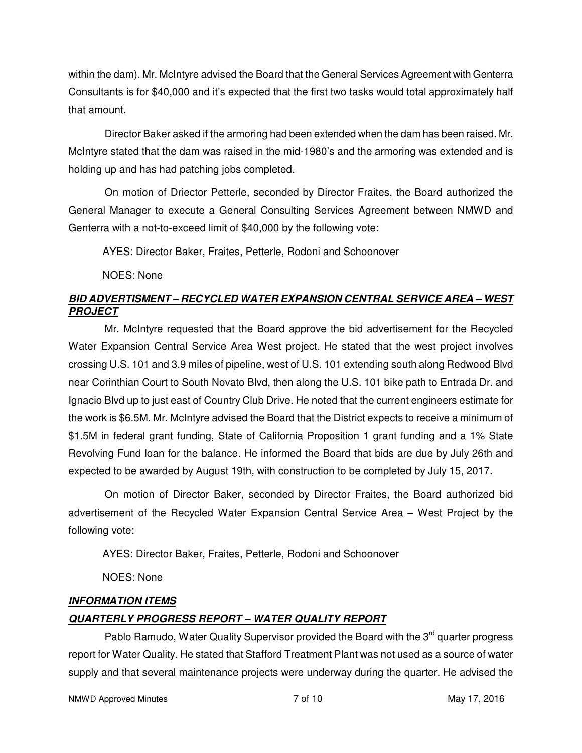within the dam). Mr. McIntyre advised the Board that the General Services Agreement with Genterra Consultants is for \$40,000 and it's expected that the first two tasks would total approximately half that amount.

Director Baker asked if the armoring had been extended when the dam has been raised. Mr. McIntyre stated that the dam was raised in the mid-1980's and the armoring was extended and is holding up and has had patching jobs completed.

On motion of Driector Petterle, seconded by Director Fraites, the Board authorized the General Manager to execute a General Consulting Services Agreement between NMWD and Genterra with a not-to-exceed limit of \$40,000 by the following vote:

AYES: Director Baker, Fraites, Petterle, Rodoni and Schoonover

NOES: None

# **BID ADVERTISMENT – RECYCLED WATER EXPANSION CENTRAL SERVICE AREA – WEST PROJECT**

Mr. McIntyre requested that the Board approve the bid advertisement for the Recycled Water Expansion Central Service Area West project. He stated that the west project involves crossing U.S. 101 and 3.9 miles of pipeline, west of U.S. 101 extending south along Redwood Blvd near Corinthian Court to South Novato Blvd, then along the U.S. 101 bike path to Entrada Dr. and Ignacio Blvd up to just east of Country Club Drive. He noted that the current engineers estimate for the work is \$6.5M. Mr. McIntyre advised the Board that the District expects to receive a minimum of \$1.5M in federal grant funding, State of California Proposition 1 grant funding and a 1% State Revolving Fund loan for the balance. He informed the Board that bids are due by July 26th and expected to be awarded by August 19th, with construction to be completed by July 15, 2017.

On motion of Director Baker, seconded by Director Fraites, the Board authorized bid advertisement of the Recycled Water Expansion Central Service Area – West Project by the following vote:

AYES: Director Baker, Fraites, Petterle, Rodoni and Schoonover

NOES: None

# **INFORMATION ITEMS QUARTERLY PROGRESS REPORT – WATER QUALITY REPORT**

Pablo Ramudo, Water Quality Supervisor provided the Board with the 3<sup>rd</sup> quarter progress report for Water Quality. He stated that Stafford Treatment Plant was not used as a source of water supply and that several maintenance projects were underway during the quarter. He advised the

NMWD Approved Minutes **NATURE 10** May 17, 2016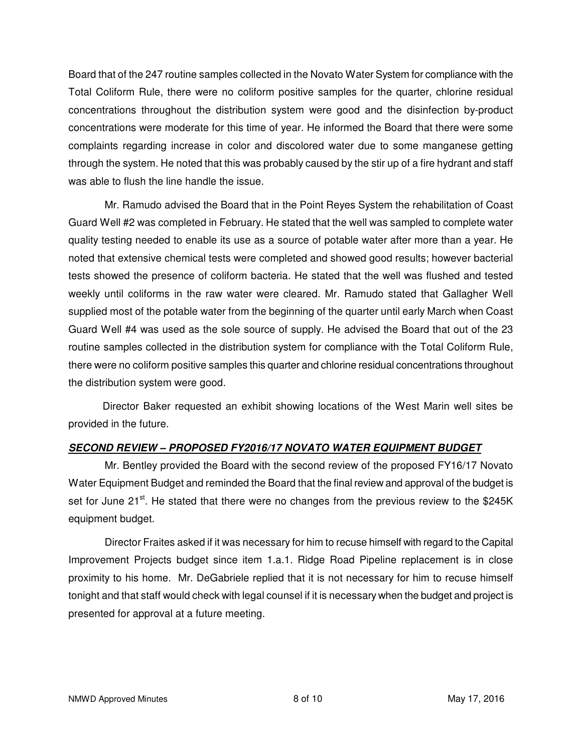Board that of the 247 routine samples collected in the Novato Water System for compliance with the Total Coliform Rule, there were no coliform positive samples for the quarter, chlorine residual concentrations throughout the distribution system were good and the disinfection by-product concentrations were moderate for this time of year. He informed the Board that there were some complaints regarding increase in color and discolored water due to some manganese getting through the system. He noted that this was probably caused by the stir up of a fire hydrant and staff was able to flush the line handle the issue.

Mr. Ramudo advised the Board that in the Point Reyes System the rehabilitation of Coast Guard Well #2 was completed in February. He stated that the well was sampled to complete water quality testing needed to enable its use as a source of potable water after more than a year. He noted that extensive chemical tests were completed and showed good results; however bacterial tests showed the presence of coliform bacteria. He stated that the well was flushed and tested weekly until coliforms in the raw water were cleared. Mr. Ramudo stated that Gallagher Well supplied most of the potable water from the beginning of the quarter until early March when Coast Guard Well #4 was used as the sole source of supply. He advised the Board that out of the 23 routine samples collected in the distribution system for compliance with the Total Coliform Rule, there were no coliform positive samples this quarter and chlorine residual concentrations throughout the distribution system were good.

 Director Baker requested an exhibit showing locations of the West Marin well sites be provided in the future.

# **SECOND REVIEW – PROPOSED FY2016/17 NOVATO WATER EQUIPMENT BUDGET**

Mr. Bentley provided the Board with the second review of the proposed FY16/17 Novato Water Equipment Budget and reminded the Board that the final review and approval of the budget is set for June 21 $st$ . He stated that there were no changes from the previous review to the \$245K equipment budget.

Director Fraites asked if it was necessary for him to recuse himself with regard to the Capital Improvement Projects budget since item 1.a.1. Ridge Road Pipeline replacement is in close proximity to his home. Mr. DeGabriele replied that it is not necessary for him to recuse himself tonight and that staff would check with legal counsel if it is necessary when the budget and project is presented for approval at a future meeting.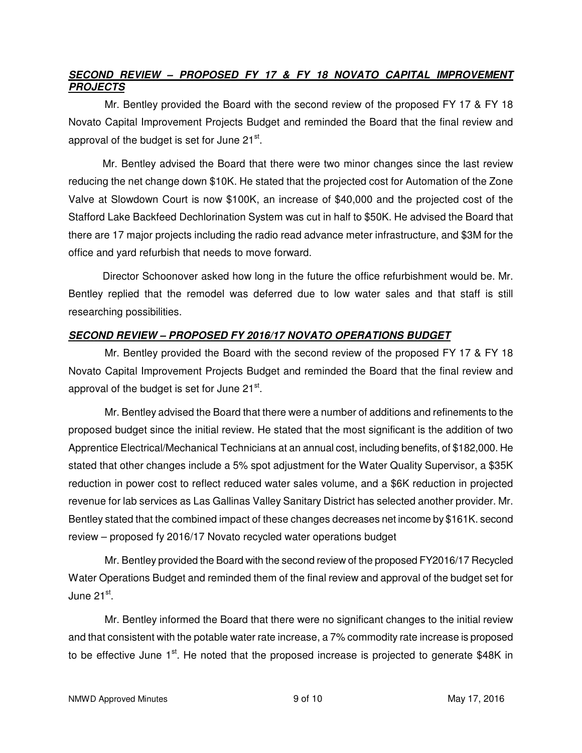# **SECOND REVIEW – PROPOSED FY 17 & FY 18 NOVATO CAPITAL IMPROVEMENT PROJECTS**

Mr. Bentley provided the Board with the second review of the proposed FY 17 & FY 18 Novato Capital Improvement Projects Budget and reminded the Board that the final review and approval of the budget is set for June 21<sup>st</sup>.

 Mr. Bentley advised the Board that there were two minor changes since the last review reducing the net change down \$10K. He stated that the projected cost for Automation of the Zone Valve at Slowdown Court is now \$100K, an increase of \$40,000 and the projected cost of the Stafford Lake Backfeed Dechlorination System was cut in half to \$50K. He advised the Board that there are 17 major projects including the radio read advance meter infrastructure, and \$3M for the office and yard refurbish that needs to move forward.

 Director Schoonover asked how long in the future the office refurbishment would be. Mr. Bentley replied that the remodel was deferred due to low water sales and that staff is still researching possibilities.

# **SECOND REVIEW – PROPOSED FY 2016/17 NOVATO OPERATIONS BUDGET**

Mr. Bentley provided the Board with the second review of the proposed FY 17 & FY 18 Novato Capital Improvement Projects Budget and reminded the Board that the final review and approval of the budget is set for June 21<sup>st</sup>.

Mr. Bentley advised the Board that there were a number of additions and refinements to the proposed budget since the initial review. He stated that the most significant is the addition of two Apprentice Electrical/Mechanical Technicians at an annual cost, including benefits, of \$182,000. He stated that other changes include a 5% spot adjustment for the Water Quality Supervisor, a \$35K reduction in power cost to reflect reduced water sales volume, and a \$6K reduction in projected revenue for lab services as Las Gallinas Valley Sanitary District has selected another provider. Mr. Bentley stated that the combined impact of these changes decreases net income by \$161K. second review – proposed fy 2016/17 Novato recycled water operations budget

Mr. Bentley provided the Board with the second review of the proposed FY2016/17 Recycled Water Operations Budget and reminded them of the final review and approval of the budget set for June 21<sup>st</sup>.

Mr. Bentley informed the Board that there were no significant changes to the initial review and that consistent with the potable water rate increase, a 7% commodity rate increase is proposed to be effective June  $1<sup>st</sup>$ . He noted that the proposed increase is projected to generate \$48K in